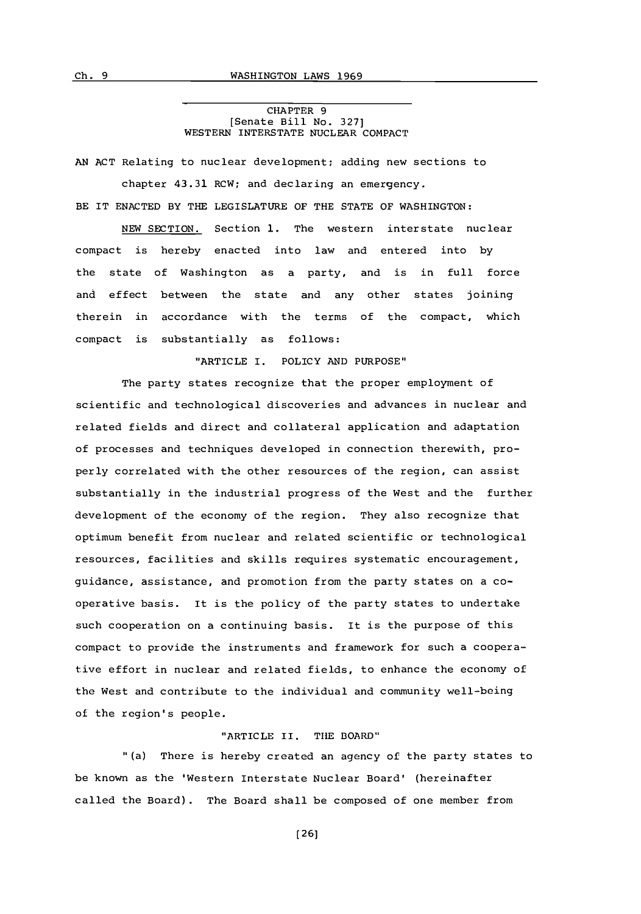CHAPTER **9** [Senate Bill No. **327]** WESTERN INTERSTATE **NUCLEAR COMPACT**

**AN ACT** Relating to nuclear development; adding new sections to

chapter 43.31 RCW; and declaring an emergency. BE IT **ENACTED** BY THE LEGISLATURE OF THE **STATE** OF WASHINGTON:

**NEW SECTION.** Section **1.** The western interstate nuclear compact is hereby enacted into law and entered into **by** the state of Washington as a party, and is in full force and effect between the state and any other states joining therein in accordance with the terms of the compact, which compact is substantially as follows:

"ARTICLE I. POLICY **AND PURPOSE"**

The party states recognize that the proper employment of scientific and technological discoveries and advances in nuclear and related fields and direct and collateral application and adaptation of processes and techniques developed in connection therewith, properly correlated with the other resources of the region, can assist substantially in the industrial progress of the West and the further development of the economy of the region. They also recognize that optimum benefit from nuclear and related scientific or technological resources, facilities and skills requires systematic encouragement, guidance, assistance, and promotion from the party states on a cooperative basis. It is the policy of the party states to undertake such cooperation on a continuing basis. It is the purpose of this compact to provide the instruments and framework for such a cooperative effort in nuclear and related fields, to enhance the economy of the West and contribute to the individual and community well-being of the region's people.

### "ARTICLE II. THE BOARD"

"(a) There is hereby created an agency of the party states to be known as the 'Western Interstate Nuclear Board' (hereinafter called the Board). The Board shall be composed of one member from

**[26]**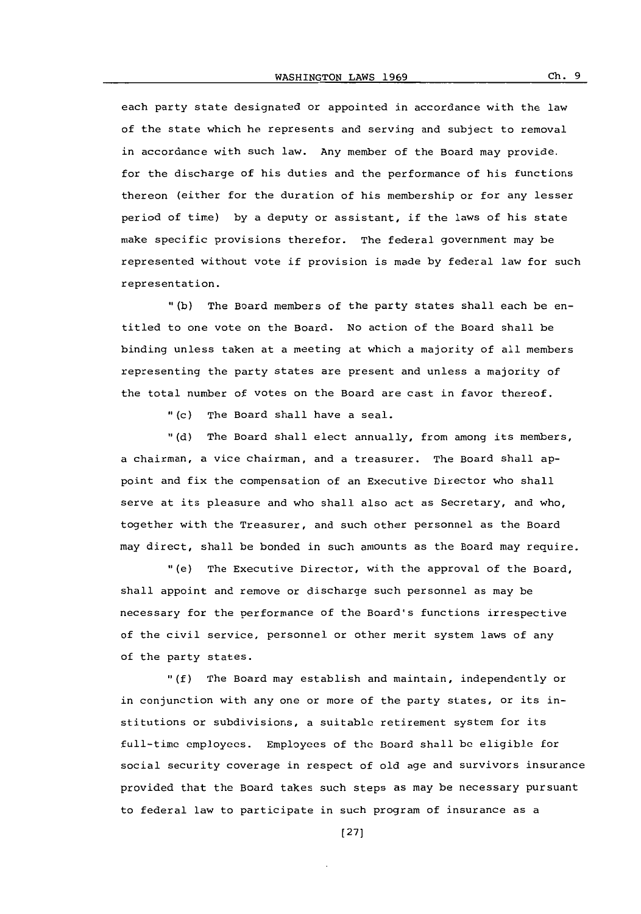each party state designated or appointed in accordance with the law of the state which he represents and serving and subject to removal in accordance with such law. Any member of the Board may provide. for the discharge of his duties and the performance of his functions thereon (either for the duration of his membership or for any lesser period of time) **by** a deputy or assistant, if the laws of his state make specific provisions therefor. The federal government may be represented without vote if provision is made **by** federal law for such representation.

**"(b)** The Board members of the party states shall each be entitled to one vote on the Board. No action of the Board shall be binding unless taken at a meeting at which a majority of all members representing the party states are present and unless a majority of the total number of votes on the Board are cast in favor thereof.

"(c) The Board shall have a seal.

**(d)** The Board shall elect annually, from among its members, a chairman, a vice chairman, and a treasurer. The Board shall appoint and fix the compensation of an Executive Director who shall serve at its pleasure and who shall also act as Secretary, and who, together with the Treasurer, and such other personnel as the Board may direct, shall be bonded in such amounts as the Board may require.

"(e) The Executive Director, with the approval of the Board, shall appoint and remove or discharge such personnel as may be necessary for the performance of the Board's functions irrespective of the civil service, personnel or other merit system laws of any of the party states.

**"(f)** The Board may establish and maintain, independently or in conjunction with any one or more of the party states, or its institutions or subdivisions, a suitable retirement system for its full-time employees. Employees of the Board shall **be** eligible for social security coverage in respect of old age and survivors insurance provided that the Board takes such steps as may be necessary pursuant to federal law to participate in such program of insurance as a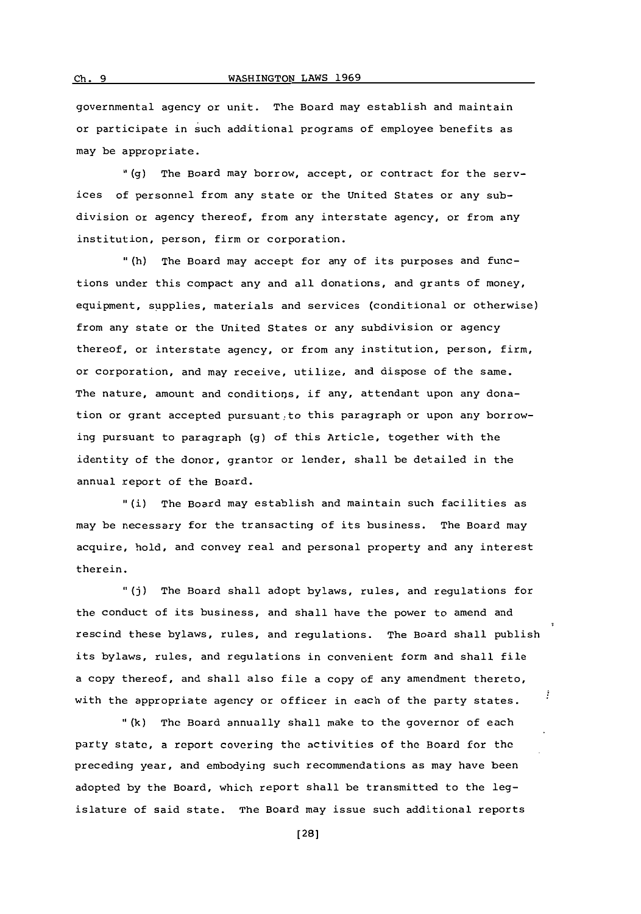# **Ch. 9** WASHINGTON LAWS 1969

governmental agency or unit. The Board may establish and maintain or participate in such additional programs of employee benefits as may be appropriate.

**"(g)** The Board may borrow, accept, or contract for the services of personnel from any state or the United States or any subdivision or agency thereof, from any interstate agency, or from any institution, person, firm or corporation.

"(h) The Board may accept for any of its purposes and functions under this compact any and all donations, and grants of money, equipment, supplies, materials and services (conditional or otherwise) from any state or the United States or any subdivision or agency thereof, or interstate agency, or from any institution, person, firm, or corporation, and may receive, utilize, and dispose of the same. The nature, amount and conditions, if any, attendant upon any donation or grant accepted pursuant to this paragraph or upon any borrowing pursuant to paragraph **(g)** of this Article, together with the identity of the donor, grantor or lender, shall be detailed in the annual report of the Board.

(i) The Board may establish and maintain such facilities as may be necessary for the transacting of its business. The Board may acquire, hold, and convey real and personal property and any interest therein.

**"(j)** The Board shall adopt bylaws, rules, and regulations for the conduct of its business, and shall have the power to amend and rescind these bylaws, rules, and regulations. The Board shall publish its bylaws, rules, and regulations in convenient form and shall file a copy thereof, and shall also file a copy of any amendment thereto, į with the appropriate agency or officer in each of the party states.

**"(k)** The Board annually shall make to the governor of each party statc, a report covering the activities of the Board for the preceding year, and embodying such recommendations as may have been adopted **by** the Board, which report shall be transmitted to the legislature of said state. The Board may issue such additional reports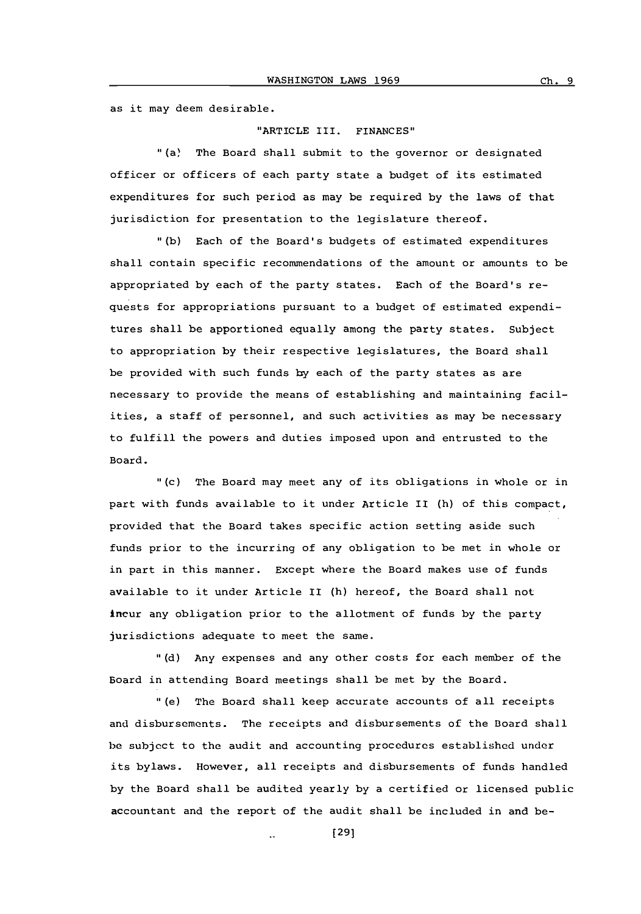as it may deem desirable.

#### "ARTICLE III. **FINANCES"**

"(a) The Board shall submit to the governor or designated officer or officers of each party state a budget of its estimated expenditures for such period as may be required **by** the laws of that jurisdiction for presentation to the legislature thereof.

**"(b)** Each of the Board's budgets of estimated expenditures shall contain specific recommendations of the amount or amounts to be appropriated **by** each of the party states. Each of the Board's requests for appropriations pursuant to a budget of estimated expenditures shall be apportioned equally among the party states. Subject to appropriation **by** their respective legislatures, the Board shall be provided with such funds **by** each of the party states as are necessary to provide the means of establishing and maintaining facilities, a staff of personnel, and such activities as may be necessary to fulfill the powers and duties imposed upon and entrusted to the Board.

.(c) The Board may meet any of its obligations in whole or in part with funds available to it under Article II (h) of this compact, provided that the Board takes specific action setting aside such funds prior to the incurring of any obligation to be met in whole or in part in this manner. Except where the Board makes use of funds available to it under Article II (h) hereof, the Board shall not incur any obligation prior to the allotment of funds **by** the party jurisdictions adequate to meet the same.

**"(d)** Any expenses and any other costs for each member of the Board in attending Board meetings shall be met **by** the Board.

"(e) The Board shall keep accurate accounts of all receipts end disbursements. The receipts and disbursements of the Board shall **be** subject to the audit and accounting procedures established under its bylaws. However, all receipts and disbursements of funds handled **by** the Board shall be audited yearly **by** a certified or licensed public accountant and the report of the audit shall be included in and be-

**[291**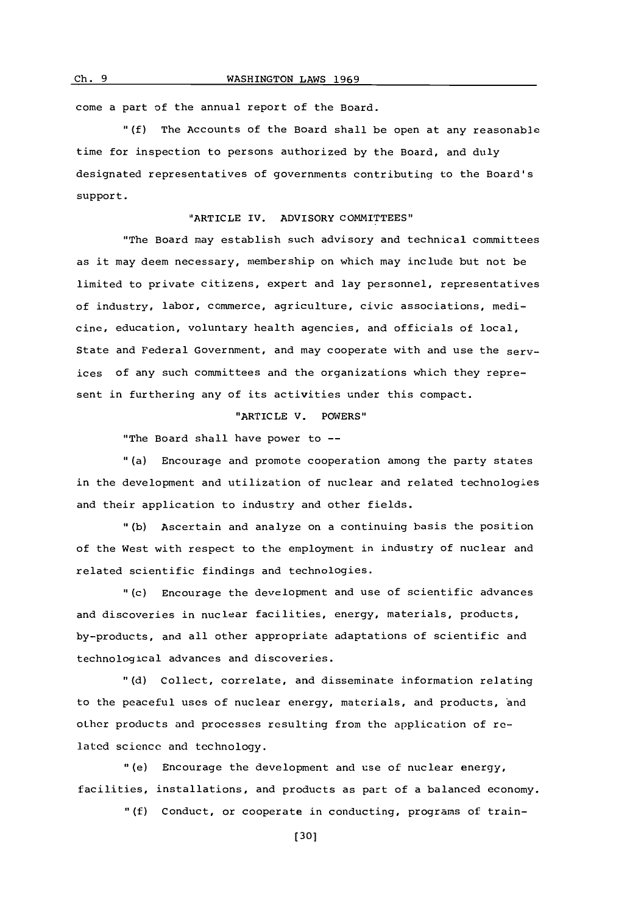Ch. 9 **WASHINGTON LAWS 1969** 

come a part of the annual report of the Board.

**"(f)** The Accounts of the Board shall be open at any reasonable time for inspection to persons authorized **by** the Board, and duly designated representatives of governments contributing to the Board's support.

# "ARTICLE IV. ADVISORY COMMITTEES"

'The Board may establish such advisory and technical committees as it may deem necessary, membership on which may include but not be limited to private citizens, expert and lay personnel, representatives of industry, labor, commerce, agriculture, civic associations, medicine, education, voluntary health agencies, and officials of local, State and Federal Government, and may cooperate with and use the services of any such committees and the organizations which they represent in furthering any of its activities under this compact.

### "ARTICLE V. POWERS"

"The Board shall have power to **--**

"(a) Encourage and promote cooperation among the party states in the development and utilization of nuclear and related technologies and their application to industry and other fields.

**"(b)** Ascertain and analyze on a continuing basis the position of the West with respect to the employment in industry of nuclear and related scientific findings and technologies.

"(c) Encourage the development and use of scientific advances and discoveries in nuclear facilities, energy, materials, products, by-products, and all other appropriate adaptations of scientific and technological advances and discoveries.

**"(d)** Collect, correlate, and disseminate information relating to the peaceful uses of nuclear energy, materials, and products, 'and other products and processes resulting from the application of related science and technology.

"(e) Encourage the development and use of nuclear energy, facilities, installations, and products as part of a balanced economy.

**"(f)** Conduct, or cooperate in conducting, programs of train-

**(301**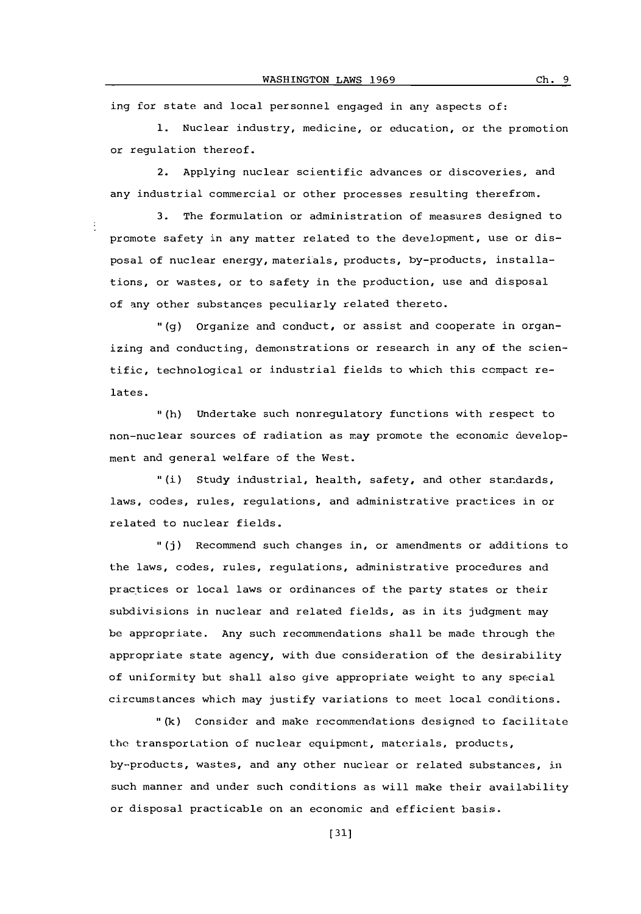ing for state and local personnel engaged in any aspects of:

**1.** Nuclear industry, medicine, or education, or the promotion or regulation thereof.

2. Applying nuclear scientific advances or discoveries, and any industrial commercial or other processes resulting therefrom.

**3.** The formulation or administration of measures designed to promote safety in any matter related to the development, use or disposal of nuclear energy, materials, products, by-products, installations, or wastes, or to safety in the production, use and disposal of any other substances peculiarly related thereto.

**11(g)** organize and conduct, or assist and cooperate in organizing and conducting, demonstrations or research in any of the scientific, technological or industrial fields to which this compact relates.

**.**(h) Undertake such nonregulatory functions with respect to non-nuclear sources of radiation as may promote the economic development and general welfare of the West.

"(i) Study industrial, health, safety, and other standards, laws, codes, rules, regulations, and administrative practices in or related to nuclear fields.

**"(j)** Recommend such changes in, or amendments or additions to the laws, codes, rules, regulations, administrative procedures and practices or local laws or ordinances of the party states or their subdivisions in nuclear and related fields, as in its judgment may be appropriate. Any such recommendations shall be made through the appropriate state agency, with due consideration of the desirability of uniformity but shall also give appropriate weight to any special circumstances which may justify variations to meet local conditions.

**"(k)** Consider and make recommendations designed to facilitate the transportation of nuclear equipment, materials, products, by--products, wastes, and any ether nuclear or related substances, in such manner and under such conditions as will make their availability or disposal practicable on an economic and efficient basis.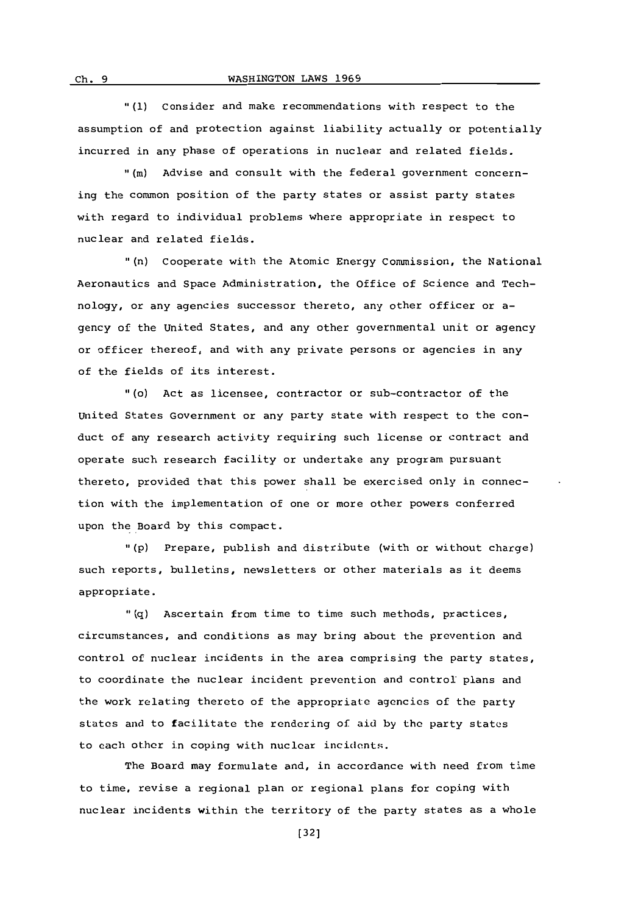**"(1)** Consider and make recommendations with respect to the assumption of and protection against liability actually or potentially incurred in any phase of operations in nuclear and related fields.

"(m) Advise and consult with the federal government concerning the common position of the party states or assist party states with regard to individual problems where appropriate in respect to nuclear and related fields.

"(n) Cooperate with the Atomic Energy commission, the National Aeronautics and Space Administration, the office of Science and Technology, or any agencies successor thereto, any other officer or agency of the United States, and any other governmental unit or agency or officer thereof, and with any private persons or agencies in any of the fields of its interest.

"1(o) Act as licensee, contractor or sub-contractor of the United States Government or any party state with respect to the conduct of any research activity requiring such license or contract and operate such research facility or undertake any program pursuant thereto, provided that this power shall be exercised only in connection with the implementation of one or more other powers conferred upon the Board **by** this compact.

**"(p)** Prepare, publish and distribute (with or without charge) such reports, bulletins, newsletters or other materials as it deems appropriate.

**"(q)** Ascertain from time to time such methods, practices, circumstances, and conditions as may bring about the prevention and control of nuclear incidents in the area comprising the party states, to coordinate the nuclear incident prevention and control plans and the work relating thereto of the appropriate agencies of the party states and to facilitate the rendering of aid **by** the party states to each other in coping with nuclear incidents.

The Board may formulate and, in accordance with need from time to time, revise a regional plan or regional plans for coping with nuclear incidents within the territory of the party states as a whole

 $ch.9$ 

**32]**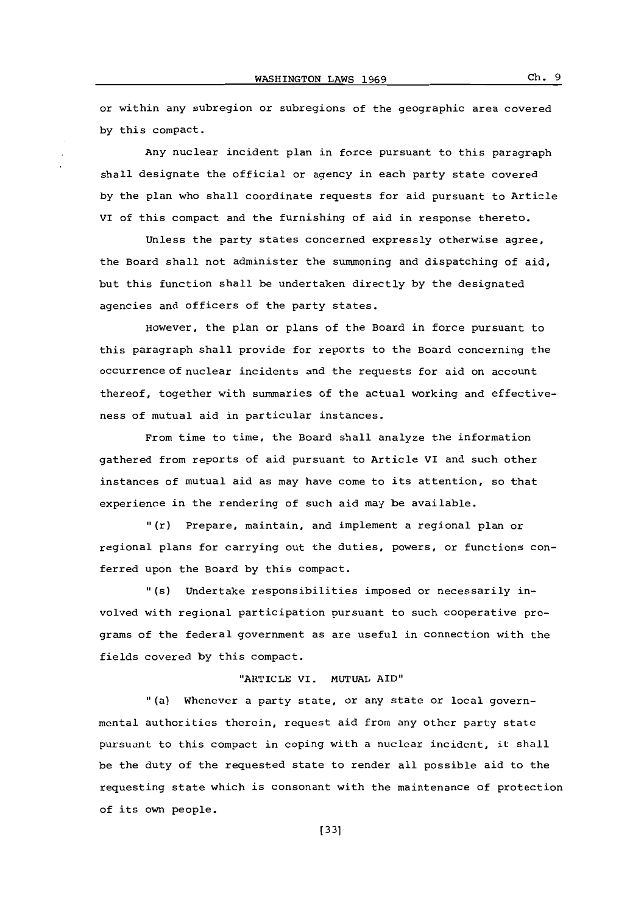or within any subregion or subregions of the geographic area covered **by** this compact.

Any nuclear incident plan in force pursuant to this paragraph shall designate the official or agency in each party state covered **by** the plan who shall coordinate requests for aid pursuant to Article Vi of this compact and the furnishing of aid in response thereto.

Unless the party states concerned expressly otherwise agree, the Board shall not administer the summoning and dispatching of aid, but this function shall be undertaken directly **by** the designated agencies and officers of the party states.

However, the plan or plans of the Board in force pursuant to this paragraph shall provide for reports to the Board concerning the occurrence of nuclear incidents and the requests for aid on account thereof, together with summaries of the actual working and effectiveness of mutual aid in particular instances.

From time to time, the Board shall analyze the information gathered from reports of aid pursuant to Article VI and such other instances of mutual aid as may have come to its attention, so that experience in the rendering of such aid may be available.

"(r) Prepare, maintain, and implement a regional plan or regional plans for carrying out the duties, powers, or functions conferred upon the Board **by** this compact.

"(s) Undertake responsibilities imposed or necessarily involved with regional participation pursuant to such cooperative programs of the federal government as are useful in connection with the fields covered **by** this compact.

# "ARTICLE VI. **MUTUAL** AID"

"(a) whenever a party state, or any state or local governmental authorities therein, request aid from any other party state pursuant to this compact in coping with a nuclear incident, it shall be the duty of the requested state to render all possible aid to the requesting state which is consonant with the maintenance of protection of its own people.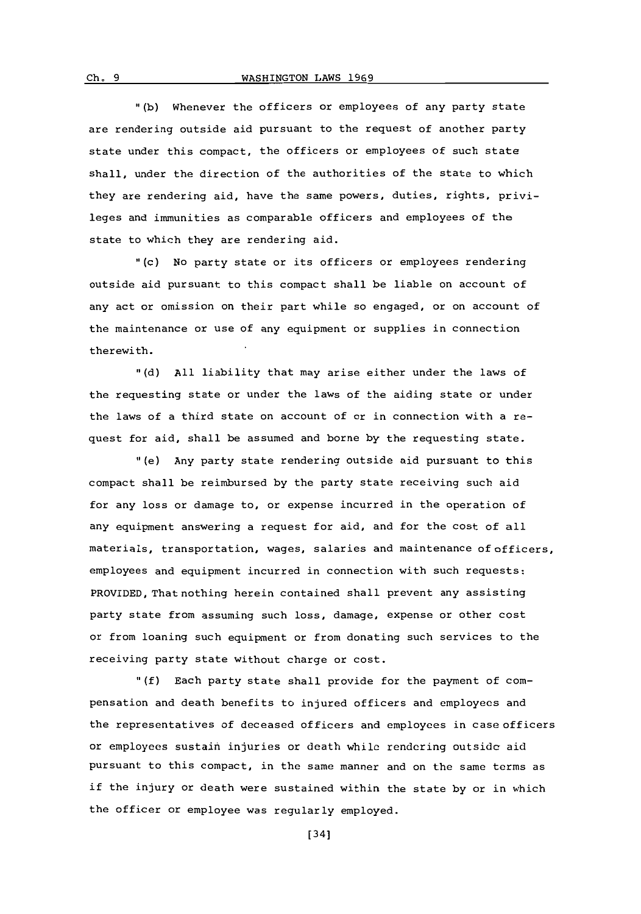**11(b)** Whenever the officers or employees of any party state are rendering outside aid pursuant to the request of another party state under this compact, the officers or employees of such state shall, under the direction of the authorities of the state to which they are rendering aid, have the same powers, duties, rights, privileges and immunities as comparable officers and employees of the state to which they are rendering aid.

"(c) No party state or its officers or employees rendering outside aid pursuant to this compact shall be liable on account of any act or omission on their part while so engaged, or on account of the maintenance or use of any equipment or supplies in connection therewith.

**11(d) All** liability that may arise either under the laws of the requesting state or under the laws of the aiding state or under the laws of a third state on account of or in connection with a request for aid, shall be assumed and borne **by** the requesting state.

(e) Any party state rendering outside aid pursuant to this compact shall be reimbursed **by** the party state receiving such aid for any loss or damage to, or expense incurred in the operation of any equipment answering a request for aid, and for the cost of all materials, transportation, wages, salaries and maintenance of officers, employees and equipment incurred in connection with such requests: PROVIDED, That nothing herein contained shall prevent any assisting party state from assuming such loss, damage, expense or other cost or from loaning such equipment or from donating such services to the receiving party state without charge or cost.

**"(f)** Each party state shall provide for the payment of compensation and death benefits to injured officers and employees and the representatives of deceased officers and employees in case officers or employees sustain injuries or death while rendering outside aid pursuant to this compact, in the same manner and on the same terms as if the injury or death were sustained within the state **by** or in which the officer or employee was regularly employed.

[34]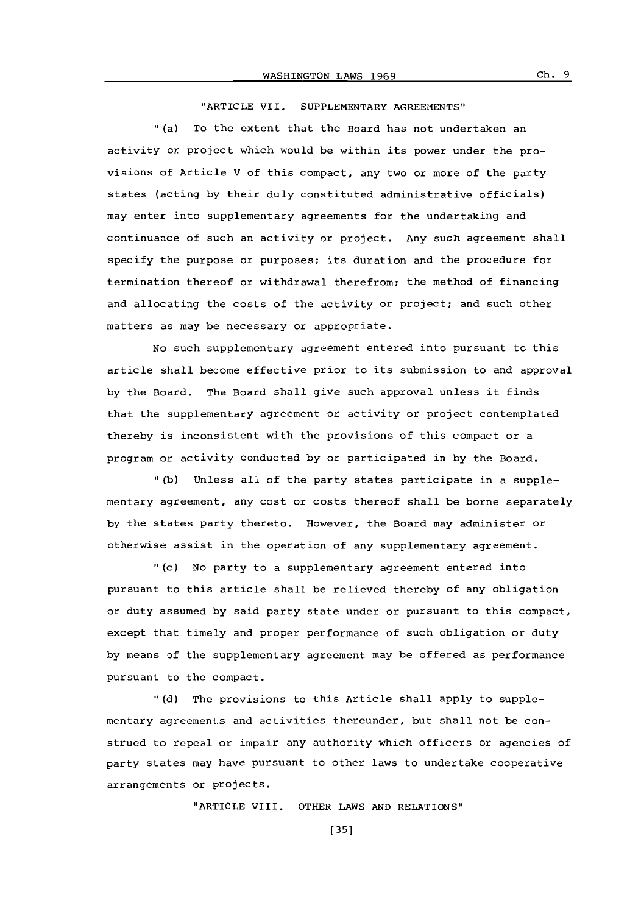"ARTICLE VII. SUPPLEMENTARY **AGREEMENTS"**

(a) To the extent that the Board has not undertaken an activity or project which would be within its power under the provisions of Article V of this compact, any two or more of the party states (acting **by** their duly constituted administrative officials) may enter into supplementary agreements for the undertaking and continuance of such an activity or project. Any such agreement shall specify the purpose or purposes; its duration and the procedure for termination thereof or withdrawal therefrom; the method of financing and allocating the costs of the activity or project; and such other matters as may be necessary or appropriate.

No such supplementary agreement entered into pursuant to this article shall become effective prior to its submission to and approval **by** the Board. The Board shall give such approval unless it finds that the supplementary agreement or activity or project contemplated thereby is inconsistent with the provisions of this compact or a program or activity conducted **by** or participated in **by** the Board.

**"(b)** Unless all of the party states participate in a supplementary agreement, any cost or costs thereof shall be borne separately **by** the states party thereto. However, the Board may administer or otherwise assist in the operation of any supplementary agreement.

(c) No party to a supplementary agreement entered into pursuant to this article shall be relieved thereby of any obligation or duty assumed **by** said party state under or pursuant to this compact, except that timely and proper performance of such obligation or duty **by** means of the supplementary agreement may be offered as performance pursuant to the compact.

**"(d)** The provisions to this Article shall apply to supplementary agreements and activities thereunder, but shall not be construed to repeal or impair any authority which officers or agencies of party states may have pursuant to other laws to undertake cooperative arrangements or projects.

"ARTICLE VIII. OTHER LAWS **AND** RELATIONS"

**[35]**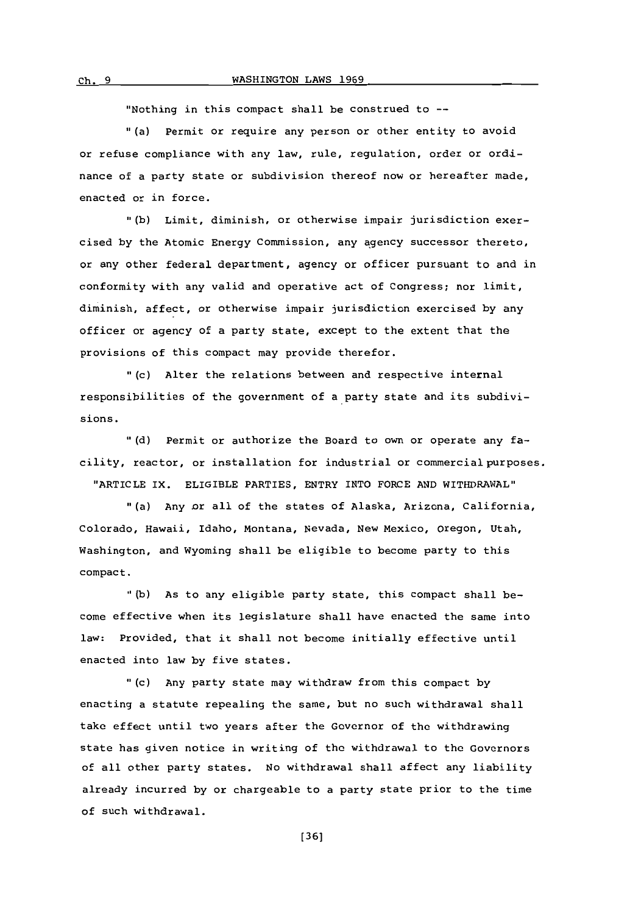#### C. 9WASHINGTON LAWS **1969**

"Nothing in this compact shall be construed to **--**

(a) Permit or require any person or other entity to avoid or refuse compliance with any law, rule, regulation, order or ordinance of a party state or subdivision thereof now or hereafter made, enacted or in force.

**"(b)** Limit, diminish, or otherwise impair jurisdiction exercised **by** the Atomic Energy Commission, any agency successor thereto, or any other federal department, agency or officer pursuant to and in conformity with any valid and operative act of Congress; nor limit, diminish, affect, or otherwise impair jurisdiction exercised **by** any officer or agency of a party state, except to the extent that the provisions of this compact may provide therefor.

"(c) Alter the relations between and respective internal responsibilities of the government of a party state and its subdivisions.

**." d)** Permit or authorize the Board to own or operate any facility, reactor, or installation for industrial or commercial purposes. "ARTICLE IX. ELIGIBLE PARTIES, ENTRY INTO FORCE **AND** WITHDRAWAL"

"(a) Any or all of the states of Alaska, Arizona, California, Colorado, Hawaii, Idaho, Montana, Nevada, New Mexico, Oregon, Utah, Washington, and Wyoming shall be eligible to become party to this compact.

**"(b)** As to any eligible party state, this compact shall become effective when its legislature shall have enacted the same into law: Provided, that it shall not become initially effective until enacted into law **by** five states.

"(c) Any party state may withdraw from this compact **by** enacting a statute repealing the same, but no such withdrawal shall take effect until two years after the Governor of the withdrawing state has given notice in writing of the withdrawal to the Governors of all other party states. No withdrawal shall affect any liability already incurred **by** or chargeable to a party state prior to the time of such withdrawal.

**(361**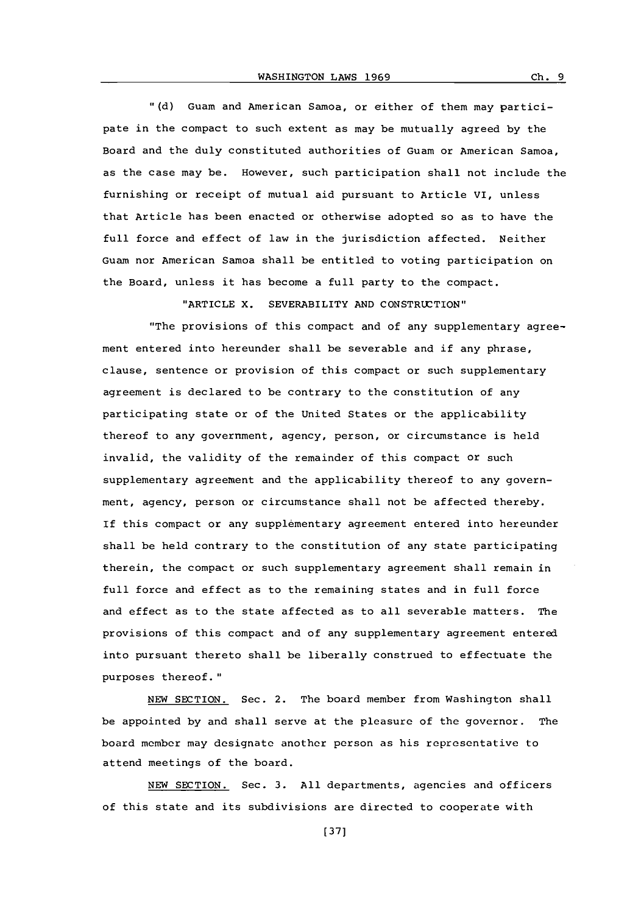**11(d)** Guam and American Samoa, or either of them may participate in the compact to such extent as may be mutually agreed **by** the Board and the duly constituted authorities of Guam or American Samoa. as the case may be. However, such participation shall not include the furnishing or receipt of mutual aid pursuant to Article VI, unless that Article has been enacted or otherwise adopted so as to have the full force and effect of law in the jurisdiction affected. Neither Guam nor American Samoa shall be entitled to voting participation on the Board, unless it has become a full party to the compact.

"ARTICLE X. SEVERABILITY AND CONSTRUCTION"

"The provisions of this compact and of any supplementary agreement entered into hereunder shall be severable and if any phrase, clause, sentence or provision of this compact or such supplementary agreement is declared to be contrary to the constitution of any participating state or of the United States or the applicability thereof to any government, agency, person, or circumstance is held invalid, the validity of the remainder of this compact or such supplementary agreement and the applicability thereof to any government, agency, person or circumstance shall not be affected thereby. If this compact or any supplementary agreement entered into hereunder shall be held contrary to the constitution of any state participating therein, the compact or such supplementary agreement shall remain in full force and effect as to the remaining states and in full force and effect as to the state affected as to all severable matters. The provisions of this compact and of any supplementary agreement entered into pursuant thereto shall be liberally construed to effectuate the purposes thereof."

**NEW** SECTION. Sec. 2. The board member from Washington shall be appointed **by** and shall serve at the pleasure of the governor. The board member may designate another person as his representative to attend meetings of the board.

**NEW** SECTION. Sec. **3. All** departments, agencies and officers of this state and its subdivisions are directed to cooperate with

 $ch.9$ 

**[371**